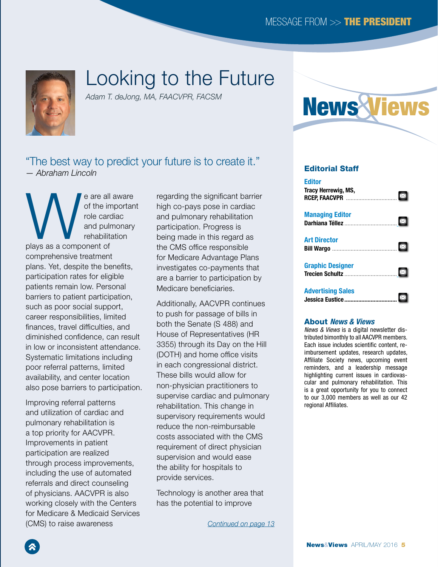<span id="page-0-0"></span>

# Looking to the Future

*Adam T. deJong, MA, FAACVPR, FACSM*

### "The best way to predict your future is to create it." *— Abraham Lincoln*

e are all aware<br>of the importance<br>of the importance<br>and pulmonary<br>rehabilitation<br>rehabilitation of the important role cardiac and pulmonary rehabilitation plays as a component of comprehensive treatment plans. Yet, despite the benefits, participation rates for eligible patients remain low. Personal barriers to patient participation, such as poor social support, career responsibilities, limited finances, travel difficulties, and diminished confidence, can result in low or inconsistent attendance. Systematic limitations including poor referral patterns, limited availability, and center location also pose barriers to participation.

Improving referral patterns and utilization of cardiac and pulmonary rehabilitation is a top priority for AACVPR. Improvements in patient participation are realized through process improvements, including the use of automated referrals and direct counseling of physicians. AACVPR is also working closely with the Centers for Medicare & Medicaid Services (CMS) to raise awareness

regarding the significant barrier high co-pays pose in cardiac and pulmonary rehabilitation participation. Progress is being made in this regard as the CMS office responsible for Medicare Advantage Plans investigates co-payments that are a barrier to participation by Medicare beneficiaries.

Additionally, AACVPR continues to push for passage of bills in both the Senate (S 488) and House of Representatives (HR 3355) through its Day on the Hill (DOTH) and home office visits in each congressional district. These bills would allow for non-physician practitioners to supervise cardiac and pulmonary rehabilitation. This change in supervisory requirements would reduce the non-reimbursable costs associated with the CMS requirement of direct physician supervision and would ease the ability for hospitals to provide services.

Technology is another area that has the potential to improve

*[Continued on page 13](#page-1-0)*



#### Editorial Staff

| <b>Editor</b><br>Tracy Herrewig, MS,<br>насу неп сwig, №э,<br>RCEP, FAACVPR ……………………………… ⊠ |  |
|--------------------------------------------------------------------------------------------|--|
| <b>Managing Editor</b>                                                                     |  |
| <b>Art Director</b>                                                                        |  |
| <b>Graphic Designer</b>                                                                    |  |
| <b>Advertising Sales</b>                                                                   |  |

#### About *News & Views*

*News & Views* is a digital newsletter distributed bimonthly to all AACVPR members. Each issue includes scientific content, reimbursement updates, research updates, Affiliate Society news, upcoming event reminders, and a leadership message highlighting current issues in cardiovascular and pulmonary rehabilitation. This is a great opportunity for you to connect to our 3,000 members as well as our 42 regional Affiliates.